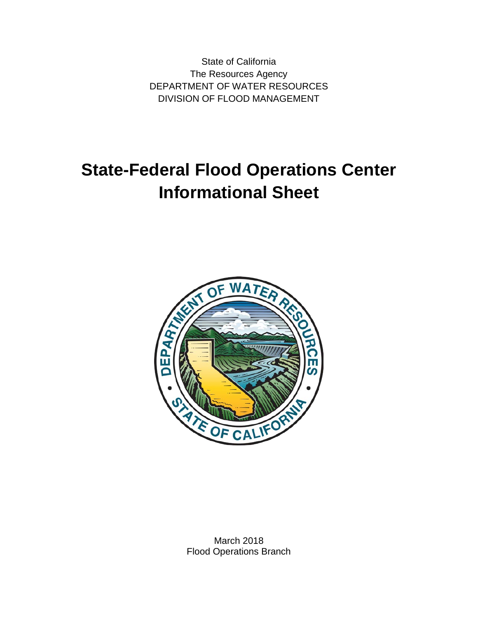State of California The Resources Agency DEPARTMENT OF WATER RESOURCES DIVISION OF FLOOD MANAGEMENT

# **State-Federal Flood Operations Center Informational Sheet**



March 2018 Flood Operations Branch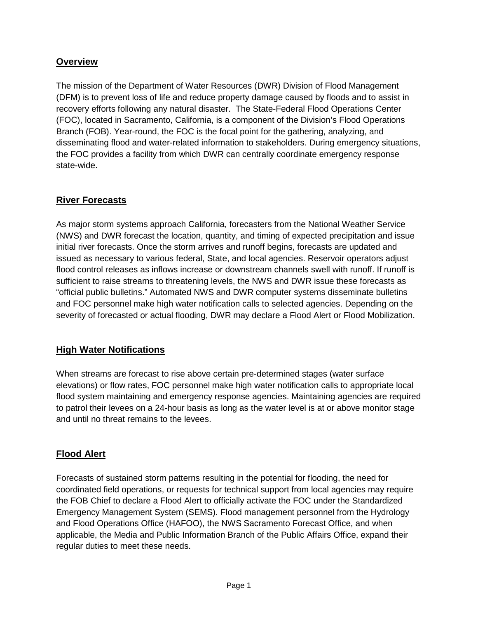## **Overview**

The mission of the Department of Water Resources (DWR) Division of Flood Management (DFM) is to prevent loss of life and reduce property damage caused by floods and to assist in recovery efforts following any natural disaster. The State-Federal Flood Operations Center (FOC), located in Sacramento, California, is a component of the Division's Flood Operations Branch (FOB). Year-round, the FOC is the focal point for the gathering, analyzing, and disseminating flood and water-related information to stakeholders. During emergency situations, the FOC provides a facility from which DWR can centrally coordinate emergency response state-wide.

## **River Forecasts**

As major storm systems approach California, forecasters from the National Weather Service (NWS) and DWR forecast the location, quantity, and timing of expected precipitation and issue initial river forecasts. Once the storm arrives and runoff begins, forecasts are updated and issued as necessary to various federal, State, and local agencies. Reservoir operators adjust flood control releases as inflows increase or downstream channels swell with runoff. If runoff is sufficient to raise streams to threatening levels, the NWS and DWR issue these forecasts as "official public bulletins." Automated NWS and DWR computer systems disseminate bulletins and FOC personnel make high water notification calls to selected agencies. Depending on the severity of forecasted or actual flooding, DWR may declare a Flood Alert or Flood Mobilization.

## **High Water Notifications**

When streams are forecast to rise above certain pre-determined stages (water surface elevations) or flow rates, FOC personnel make high water notification calls to appropriate local flood system maintaining and emergency response agencies. Maintaining agencies are required to patrol their levees on a 24-hour basis as long as the water level is at or above monitor stage and until no threat remains to the levees.

# **Flood Alert**

Forecasts of sustained storm patterns resulting in the potential for flooding, the need for coordinated field operations, or requests for technical support from local agencies may require the FOB Chief to declare a Flood Alert to officially activate the FOC under the Standardized Emergency Management System (SEMS). Flood management personnel from the Hydrology and Flood Operations Office (HAFOO), the NWS Sacramento Forecast Office, and when applicable, the Media and Public Information Branch of the Public Affairs Office, expand their regular duties to meet these needs.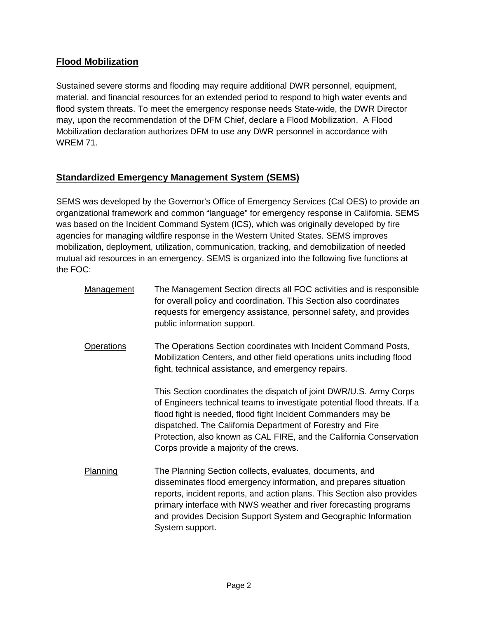## **Flood Mobilization**

Sustained severe storms and flooding may require additional DWR personnel, equipment, material, and financial resources for an extended period to respond to high water events and flood system threats. To meet the emergency response needs State-wide, the DWR Director may, upon the recommendation of the DFM Chief, declare a Flood Mobilization. A Flood Mobilization declaration authorizes DFM to use any DWR personnel in accordance with WREM 71.

## **Standardized Emergency Management System (SEMS)**

SEMS was developed by the Governor's Office of Emergency Services (Cal OES) to provide an organizational framework and common "language" for emergency response in California. SEMS was based on the Incident Command System (ICS), which was originally developed by fire agencies for managing wildfire response in the Western United States. SEMS improves mobilization, deployment, utilization, communication, tracking, and demobilization of needed mutual aid resources in an emergency. SEMS is organized into the following five functions at the FOC:

Management The Management Section directs all FOC activities and is responsible for overall policy and coordination. This Section also coordinates requests for emergency assistance, personnel safety, and provides public information support. Operations The Operations Section coordinates with Incident Command Posts, Mobilization Centers, and other field operations units including flood fight, technical assistance, and emergency repairs. This Section coordinates the dispatch of joint DWR/U.S. Army Corps of Engineers technical teams to investigate potential flood threats. If a flood fight is needed, flood fight Incident Commanders may be dispatched. The California Department of Forestry and Fire Protection, also known as CAL FIRE, and the California Conservation Corps provide a majority of the crews. Planning The Planning Section collects, evaluates, documents, and disseminates flood emergency information, and prepares situation reports, incident reports, and action plans. This Section also provides primary interface with NWS weather and river forecasting programs and provides Decision Support System and Geographic Information System support.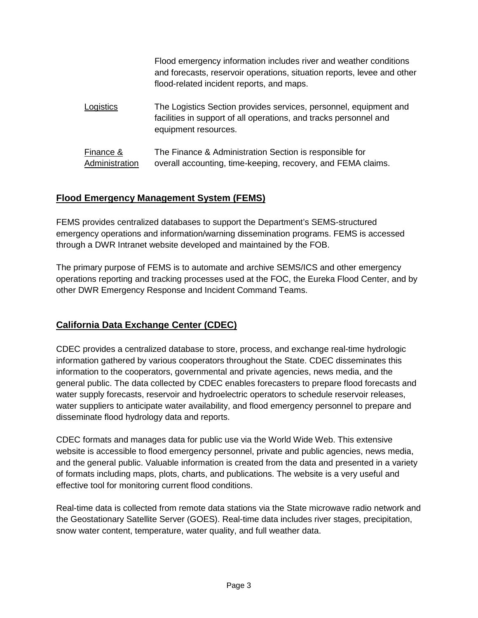|                             | Flood emergency information includes river and weather conditions<br>and forecasts, reservoir operations, situation reports, levee and other<br>flood-related incident reports, and maps. |
|-----------------------------|-------------------------------------------------------------------------------------------------------------------------------------------------------------------------------------------|
| _ogistics                   | The Logistics Section provides services, personnel, equipment and<br>facilities in support of all operations, and tracks personnel and<br>equipment resources.                            |
| Finance &<br>Administration | The Finance & Administration Section is responsible for<br>overall accounting, time-keeping, recovery, and FEMA claims.                                                                   |

#### **Flood Emergency Management System (FEMS)**

FEMS provides centralized databases to support the Department's SEMS-structured emergency operations and information/warning dissemination programs. FEMS is accessed through a DWR Intranet website developed and maintained by the FOB.

The primary purpose of FEMS is to automate and archive SEMS/ICS and other emergency operations reporting and tracking processes used at the FOC, the Eureka Flood Center, and by other DWR Emergency Response and Incident Command Teams.

# **California Data Exchange Center (CDEC)**

CDEC provides a centralized database to store, process, and exchange real-time hydrologic information gathered by various cooperators throughout the State. CDEC disseminates this information to the cooperators, governmental and private agencies, news media, and the general public. The data collected by CDEC enables forecasters to prepare flood forecasts and water supply forecasts, reservoir and hydroelectric operators to schedule reservoir releases, water suppliers to anticipate water availability, and flood emergency personnel to prepare and disseminate flood hydrology data and reports.

CDEC formats and manages data for public use via the World Wide Web. This extensive website is accessible to flood emergency personnel, private and public agencies, news media, and the general public. Valuable information is created from the data and presented in a variety of formats including maps, plots, charts, and publications. The website is a very useful and effective tool for monitoring current flood conditions.

Real-time data is collected from remote data stations via the State microwave radio network and the Geostationary Satellite Server (GOES). Real-time data includes river stages, precipitation, snow water content, temperature, water quality, and full weather data.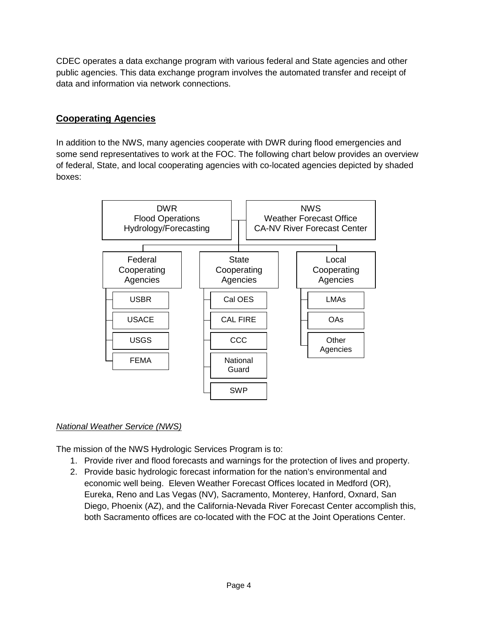CDEC operates a data exchange program with various federal and State agencies and other public agencies. This data exchange program involves the automated transfer and receipt of data and information via network connections.

## **Cooperating Agencies**

In addition to the NWS, many agencies cooperate with DWR during flood emergencies and some send representatives to work at the FOC. The following chart below provides an overview of federal, State, and local cooperating agencies with co-located agencies depicted by shaded boxes:



#### *National Weather Service (NWS)*

The mission of the NWS Hydrologic Services Program is to:

- 1. Provide river and flood forecasts and warnings for the protection of lives and property.
- 2. Provide basic hydrologic forecast information for the nation's environmental and economic well being. Eleven Weather Forecast Offices located in Medford (OR), Eureka, Reno and Las Vegas (NV), Sacramento, Monterey, Hanford, Oxnard, San Diego, Phoenix (AZ), and the California-Nevada River Forecast Center accomplish this, both Sacramento offices are co-located with the FOC at the Joint Operations Center.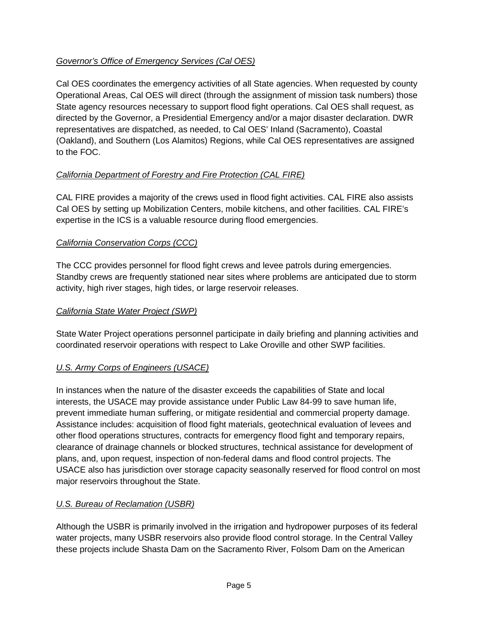## *Governor's Office of Emergency Services (Cal OES)*

Cal OES coordinates the emergency activities of all State agencies. When requested by county Operational Areas, Cal OES will direct (through the assignment of mission task numbers) those State agency resources necessary to support flood fight operations. Cal OES shall request, as directed by the Governor, a Presidential Emergency and/or a major disaster declaration. DWR representatives are dispatched, as needed, to Cal OES' Inland (Sacramento), Coastal (Oakland), and Southern (Los Alamitos) Regions, while Cal OES representatives are assigned to the FOC.

## *California Department of Forestry and Fire Protection (CAL FIRE)*

CAL FIRE provides a majority of the crews used in flood fight activities. CAL FIRE also assists Cal OES by setting up Mobilization Centers, mobile kitchens, and other facilities. CAL FIRE's expertise in the ICS is a valuable resource during flood emergencies.

#### *California Conservation Corps (CCC)*

The CCC provides personnel for flood fight crews and levee patrols during emergencies. Standby crews are frequently stationed near sites where problems are anticipated due to storm activity, high river stages, high tides, or large reservoir releases.

#### *California State Water Project (SWP)*

State Water Project operations personnel participate in daily briefing and planning activities and coordinated reservoir operations with respect to Lake Oroville and other SWP facilities.

#### *U.S. Army Corps of Engineers (USACE)*

In instances when the nature of the disaster exceeds the capabilities of State and local interests, the USACE may provide assistance under Public Law 84-99 to save human life, prevent immediate human suffering, or mitigate residential and commercial property damage. Assistance includes: acquisition of flood fight materials, geotechnical evaluation of levees and other flood operations structures, contracts for emergency flood fight and temporary repairs, clearance of drainage channels or blocked structures, technical assistance for development of plans, and, upon request, inspection of non-federal dams and flood control projects. The USACE also has jurisdiction over storage capacity seasonally reserved for flood control on most major reservoirs throughout the State.

#### *U.S. Bureau of Reclamation (USBR)*

Although the USBR is primarily involved in the irrigation and hydropower purposes of its federal water projects, many USBR reservoirs also provide flood control storage. In the Central Valley these projects include Shasta Dam on the Sacramento River, Folsom Dam on the American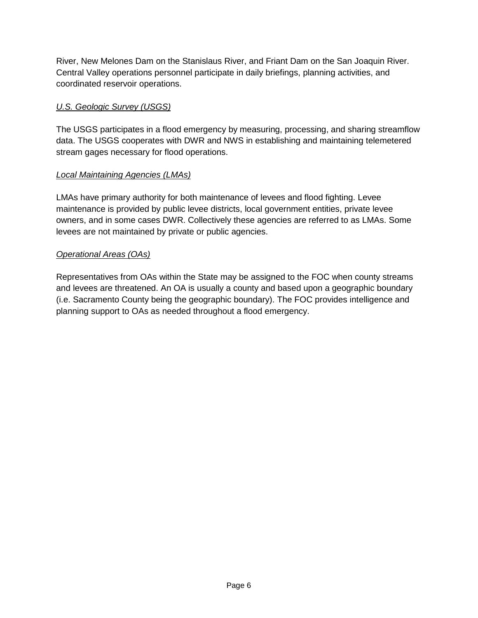River, New Melones Dam on the Stanislaus River, and Friant Dam on the San Joaquin River. Central Valley operations personnel participate in daily briefings, planning activities, and coordinated reservoir operations.

## *U.S. Geologic Survey (USGS)*

The USGS participates in a flood emergency by measuring, processing, and sharing streamflow data. The USGS cooperates with DWR and NWS in establishing and maintaining telemetered stream gages necessary for flood operations.

#### *Local Maintaining Agencies (LMAs)*

LMAs have primary authority for both maintenance of levees and flood fighting. Levee maintenance is provided by public levee districts, local government entities, private levee owners, and in some cases DWR. Collectively these agencies are referred to as LMAs. Some levees are not maintained by private or public agencies.

#### *Operational Areas (OAs)*

Representatives from OAs within the State may be assigned to the FOC when county streams and levees are threatened. An OA is usually a county and based upon a geographic boundary (i.e. Sacramento County being the geographic boundary). The FOC provides intelligence and planning support to OAs as needed throughout a flood emergency.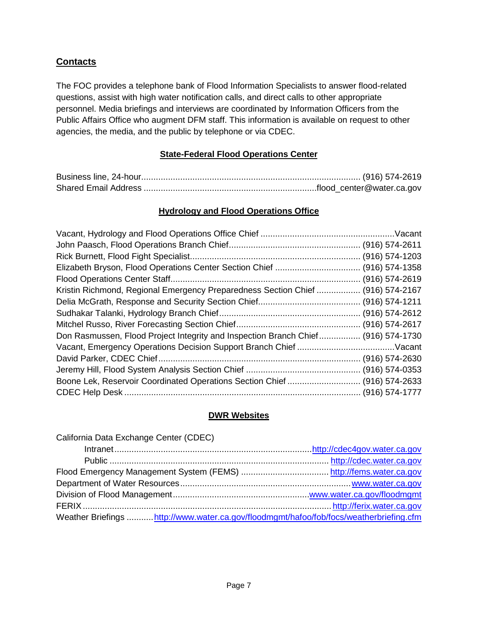## **Contacts**

The FOC provides a telephone bank of Flood Information Specialists to answer flood-related questions, assist with high water notification calls, and direct calls to other appropriate personnel. Media briefings and interviews are coordinated by Information Officers from the Public Affairs Office who augment DFM staff. This information is available on request to other agencies, the media, and the public by telephone or via CDEC.

#### **State-Federal Flood Operations Center**

#### **Hydrology and Flood Operations Office**

| Kristin Richmond, Regional Emergency Preparedness Section Chief  (916) 574-2167   |  |
|-----------------------------------------------------------------------------------|--|
|                                                                                   |  |
|                                                                                   |  |
|                                                                                   |  |
| Don Rasmussen, Flood Project Integrity and Inspection Branch Chief (916) 574-1730 |  |
|                                                                                   |  |
|                                                                                   |  |
|                                                                                   |  |
| Boone Lek, Reservoir Coordinated Operations Section Chief  (916) 574-2633         |  |
|                                                                                   |  |

#### **DWR Websites**

| California Data Exchange Center (CDEC)                                                  |  |
|-----------------------------------------------------------------------------------------|--|
|                                                                                         |  |
|                                                                                         |  |
|                                                                                         |  |
|                                                                                         |  |
|                                                                                         |  |
|                                                                                         |  |
| Weather Briefings  http://www.water.ca.gov/floodmgmt/hafoo/fob/focs/weatherbriefing.cfm |  |